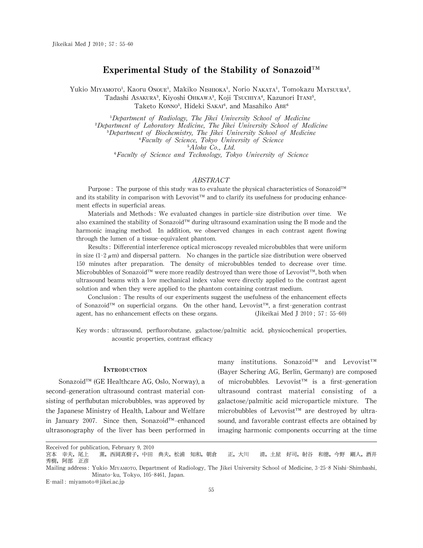# Experimental Study of the Stability of Sonazoid<sup>™</sup>

Yukio MIYAMOTO<sup>1</sup>, Kaoru Onoue<sup>1</sup>, Makiko NISHIOKA<sup>1</sup>, Norio NAKATA<sup>1</sup>, Tomokazu MATSUURA<sup>2</sup>, Tadashi Asakura<sup>3</sup>, Kiyoshi Ohkawa<sup>3</sup>, Koji Tsuchiya<sup>4</sup>, Kazunori Itani<sup>5</sup>, Taketo KONNO<sup>5</sup>, Hideki SAKAI<sup>6</sup>, and Masahiko ABE<sup>6</sup>

<sup>1</sup>Department of Radiology, The Jikei University School of Medicine <sup>2</sup>Department of Laboratory Medicine, The Jikei University School of Medicine 웍Department of Biochemistry, The Jikei University School of Medicine 웎Faculty of Science, Tokyo University of Science <sup>5</sup>Aloka Co., Ltd. <sup>6</sup>Faculty of Science and Technology, Tokyo University of Science

#### ABSTRACT

Purpose: The purpose of this study was to evaluate the physical characteristics of Sonazoid™ and its stability in comparison with Levovist<sup>™</sup> and to clarify its usefulness for producing enhancement effects in superficial areas.

Materials and Methods:We evaluated changes in particle-size distribution over time. We also examined the stability of Sonazoid™ during ultrasound examination using the B mode and the harmonic imaging method. In addition, we observed changes in each contrast agent flowing through the lumen of a tissue-equivalent phantom.

Results:Differential interference optical microscopy revealed microbubbles that were uniform in size  $(1-2 \mu m)$  and dispersal pattern. No changes in the particle size distribution were observed 150 minutes after preparation. The density of microbubbles tended to decrease over time. Microbubbles of Sonazoid™ were more readily destroyed than were those of Levovist™, both when ultrasound beams with a low mechanical index value were directly applied to the contrast agent solution and when they were applied to the phantom containing contrast medium.

Conclusion: The results of our experiments suggest the usefulness of the enhancement effects of Sonazoid<sup>™</sup> on superficial organs. On the other hand, Levovist<sup>™</sup>, a first-generation contrast agent, has no enhancement effects on these organs. (Jikeikai Med J 2010; 57:55-60)

Key words: ultrasound, perfluorobutane, galactose/palmitic acid, physicochemical properties, acoustic properties, contrast efficacy

#### **INTRODUCTION**

Sonazoid™ (GE Healthcare AG, Oslo, Norway), a second-generation ultrasound contrast material consisting of perflubutan microbubbles, was approved by the Japanese Ministry of Health, Labour and Welfare in January 2007. Since then, Sonazoid $M_{\text{B}}$ -enhanced ultrasonography of the liver has been performed in many institutions. Sonazoid™ and Levovist™ (Bayer Schering AG, Berlin, Germany) are composed of microbubbles. Levovist<sup>™</sup> is a first-generation ultrasound contrast material consisting of a galactose/palmitic acid microparticle mixture. The microbubbles of Levovist<sup>™</sup> are destroyed by ultrasound, and favorable contrast effects are obtained by imaging harmonic components occurring at the time

Received for publication, February 9, 2010<br>宮本 幸夫, 尾上 薫, 西岡真樹子, 中田 典夫, 松浦 知和, 朝倉 正,大川 清,土屋 好司,射谷 和徳,今野 剛人,酒井 秀樹,阿部 正彦

Mailing address: Yukio MIYAMOTO, Department of Radiology, The Jikei University School of Medicine, 3-25-8 Nishi-Shimbashi, Minato-ku, Tokyo, 105-8461, Japan.

E-mail: miyamoto@jikei.ac.jp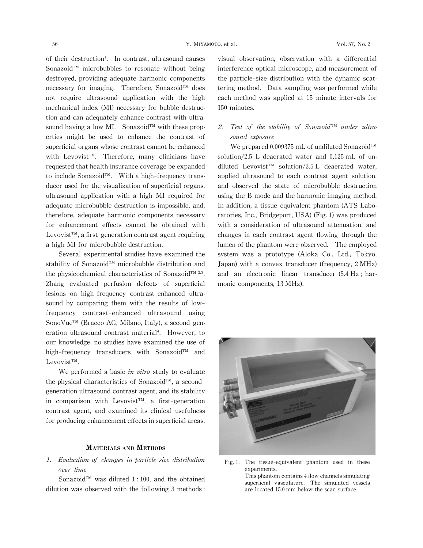of their destruction<sup>1</sup>. In contrast, ultrasound causes Sonazoid<sup>™</sup> microbubbles to resonate without being destroyed, providing adequate harmonic components necessary for imaging. Therefore, Sonazoid™ does not require ultrasound application with the high mechanical index (MI) necessary for bubble destruction and can adequately enhance contrast with ultrasound having a low MI. Sonazoid $\mathbb{I}^M$  with these properties might be used to enhance the contrast of superficial organs whose contrast cannot be enhanced with Levovist<sup>™</sup>. Therefore, many clinicians have requested that health insurance coverage be expanded to include Sonazoid $T^M$ . With a high-frequency transducer used for the visualization of superficial organs, ultrasound application with a high MI required for adequate microbubble destruction is impossible, and, therefore, adequate harmonic components necessary for enhancement effects cannot be obtained with Levovist<sup> $TM$ </sup>, a first-generation contrast agent requiring a high MI for microbubble destruction.

Several experimental studies have examined the stability of Sonazoid™ microbubble distribution and the physicochemical characteristics of Sonazoid™  $2,3$ . Zhang evaluated perfusion defects of superficial lesions on high-frequency contrast-enhanced ultrasound by comparing them with the results of lowfrequency contrast-enhanced ultrasound using SonoVue™ (Bracco AG, Milano, Italy), a second-generation ultrasound contrast material<sup>4</sup>. However, to our knowledge, no studies have examined the use of high-frequency transducers with Sonazoid $\mathbb{I}^M$  and Levovist™.

We performed a basic in vitro study to evaluate the physical characteristics of Sonazoid $TM$ , a secondgeneration ultrasound contrast agent, and its stability in comparison with Levovist<sup> $m$ </sup>, a first-generation contrast agent, and examined its clinical usefulness for producing enhancement effects in superficial areas.

### MATERIALS AND METHODS

1. Evaluation of changes in particle size distribution over time

Sonazoid<sup>™</sup> was diluted 1:100, and the obtained dilution was observed with the following 3 methods: visual observation, observation with a differential interference optical microscope, and measurement of the particle-size distribution with the dynamic scattering method. Data sampling was performed while each method was applied at 15-minute intervals for 150 minutes.

## 2. Test of the stability of Sonazoid $\mathbb{I}^M$  under ultrasound exposure

We prepared 0.009375 mL of undiluted Sonazoid $TM$ solution/2.5 L deaerated water and 0.125 mL of undiluted Levovist<sup>™</sup> solution/2.5 L deaerated water, applied ultrasound to each contrast agent solution, and observed the state of microbubble destruction using the B mode and the harmonic imaging method. In addition, a tissue-equivalent phantom (ATS Laboratories, Inc., Bridgeport, USA) (Fig. 1) was produced with a consideration of ultrasound attenuation, and changes in each contrast agent flowing through the lumen of the phantom were observed. The employed system was a prototype (Aloka Co., Ltd., Tokyo, Japan) with a convex transducer (frequency, 2 MHz) and an electronic linear transducer $(5.4 \text{ Hz}; \text{ har-}$ monic components, 13 MHz).



Fig.1. The tissue-equivalent phantom used in these experiments. This phantom contains 4 flow channels simulating superficial vasculature. The simulated vessels are located 15.0 mm below the scan surface.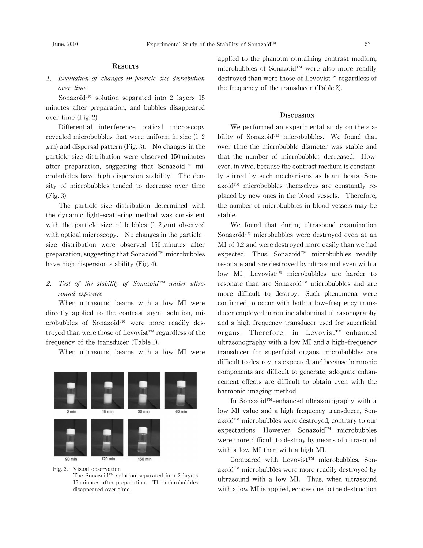## **RESULTS**

## 1. Evaluation of changes in particle-size distribution over time

Sonazoid<sup>™</sup> solution separated into 2 layers 15 minutes after preparation, and bubbles disappeared over time (Fig. 2).

Differential interference optical microscopy revealed microbubbles that were uniform in size  $(1-2)$  $\mu$ m) and dispersal pattern (Fig. 3). No changes in the particle-size distribution were observed 150 minutes after preparation, suggesting that Sonazoid $\mathbb{I}^M$  microbubbles have high dispersion stability. The density of microbubbles tended to decrease over time (Fig.3).

The particle-size distribution determined with the dynamic light-scattering method was consistent with the particle size of bubbles  $(1-2 \mu m)$  observed with optical microscopy. No changes in the particlesize distribution were observed 150 minutes after preparation, suggesting that Sonazoid $^{\text{TM}}$  microbubbles have high dispersion stability(Fig.4).

### 2. Test of the stability of Sonazoid $\mathbb{I}^{\mathfrak{m}}$  under ultrasound exposure

When ultrasound beams with a low MI were directly applied to the contrast agent solution, microbubbles of Sonazoid™ were more readily destroyed than were those of Levovist $T^M$  regardless of the frequency of the transducer (Table 1).

When ultrasound beams with a low MI were



Fig.2. Visual observation

The Sonazoid<sup>™</sup> solution separated into 2 layers 15 minutes after preparation. The microbubbles disappeared over time.

applied to the phantom containing contrast medium, microbubbles of Sonazoid™ were also more readily destroyed than were those of Levovist<sup>™</sup> regardless of the frequency of the transducer (Table 2).

#### **DISCUSSION**

We performed an experimental study on the stability of Sonazoid™ microbubbles. We found that over time the microbubble diameter was stable and that the number of microbubbles decreased. However, in vivo, because the contrast medium is constantly stirred by such mechanisms as heart beats, Son $a$ zoid $T^M$  microbubbles themselves are constantly replaced by new ones in the blood vessels. Therefore, the number of microbubbles in blood vessels may be stable.

We found that during ultrasound examination Sonazoid™ microbubbles were destroyed even at an MI of 0.2 and were destroyed more easily than we had expected. Thus, Sonazoid $T^M$  microbubbles readily resonate and are destroyed by ultrasound even with a low MI. Levovist<sup>™</sup> microbubbles are harder to resonate than are Sonazoid™ microbubbles and are more difficult to destroy. Such phenomena were confirmed to occur with both a low-frequency transducer employed in routine abdominal ultrasonography and a high-frequency transducer used for superficial organs. Therefore, in Levovist<sup>TM</sup>-enhanced ultrasonography with a low MI and a high-frequency transducer for superficial organs, microbubbles are difficult to destroy, as expected, and because harmonic components are difficult to generate, adequate enhancement effects are difficult to obtain even with the harmonic imaging method.

In Sonazoid<sup>™</sup>-enhanced ultrasonography with a low MI value and a high-frequency transducer, Sonazoid™ microbubbles were destroyed, contrary to our expectations. However, Sonazoid $I^M$  microbubbles were more difficult to destroy by means of ultrasound with a low MI than with a high MI.

Compared with Levovist<sup>™</sup> microbubbles, Son $a$ zoid<sup>™</sup> microbubbles were more readily destroyed by ultrasound with a low MI. Thus, when ultrasound with a low MI is applied, echoes due to the destruction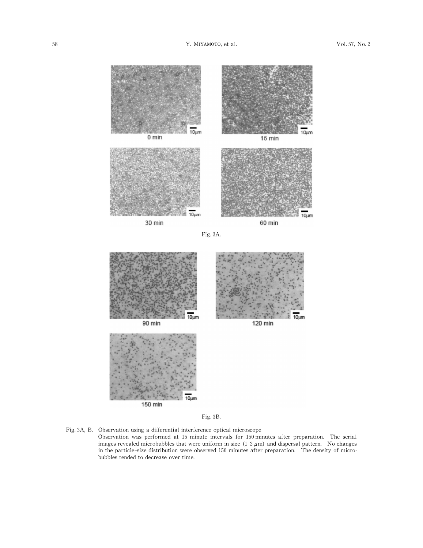

Fig.3B.

Fig.3A,B. Observation using a differential interference optical microscope Observation was performed at 15-minute intervals for 150 minutes after preparation. The serial images revealed microbubbles that were uniform in size  $(1-2 \mu m)$  and dispersal pattern. No changes in the particle-size distribution were observed 150 minutes after preparation. The density of microbubbles tended to decrease over time.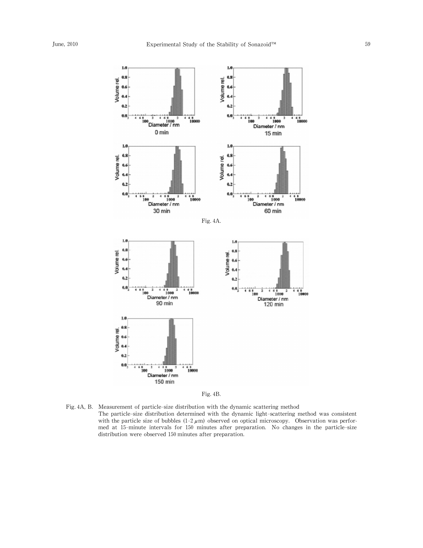



Fig.4A,B. Measurement of particle-size distribution with the dynamic scattering method The particle-size distribution determined with the dynamic light-scattering method was consistent with the particle size of bubbles  $(1-2 \mu m)$  observed on optical microscopy. Observation was performed at 15-minute intervals for 150 minutes after preparation. No changes in the particle-size distribution were observed 150 minutes after preparation.